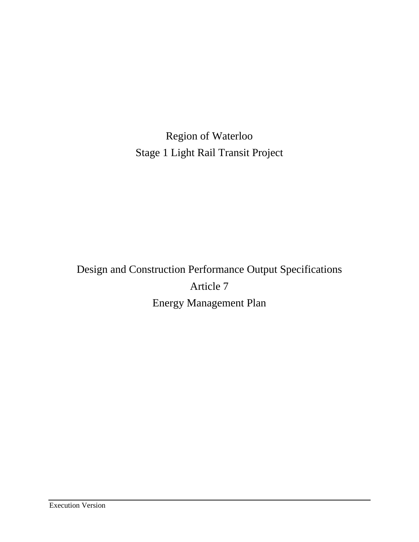Region of Waterloo Stage 1 Light Rail Transit Project

Design and Construction Performance Output Specifications Article 7 Energy Management Plan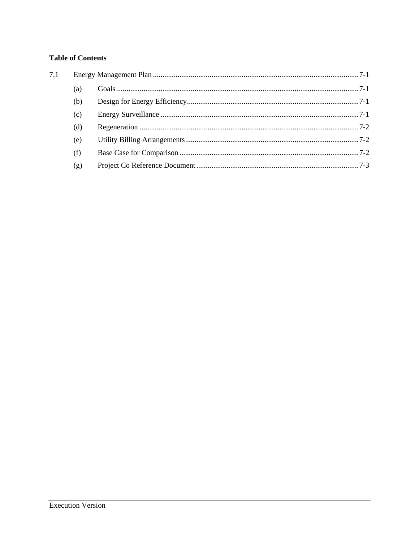# **Table of Contents**

| 7.1 |     |  |
|-----|-----|--|
|     | (a) |  |
|     | (b) |  |
|     | (c) |  |
|     | (d) |  |
|     | (e) |  |
|     | (f) |  |
|     | (g) |  |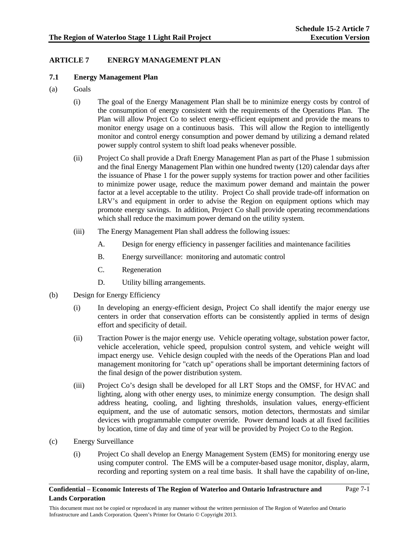Page 7-1

# **ARTICLE 7 ENERGY MANAGEMENT PLAN**

## **7.1 Energy Management Plan**

- (a) Goals
	- (i) The goal of the Energy Management Plan shall be to minimize energy costs by control of the consumption of energy consistent with the requirements of the Operations Plan. The Plan will allow Project Co to select energy-efficient equipment and provide the means to monitor energy usage on a continuous basis. This will allow the Region to intelligently monitor and control energy consumption and power demand by utilizing a demand related power supply control system to shift load peaks whenever possible.
	- (ii) Project Co shall provide a Draft Energy Management Plan as part of the Phase 1 submission and the final Energy Management Plan within one hundred twenty (120) calendar days after the issuance of Phase 1 for the power supply systems for traction power and other facilities to minimize power usage, reduce the maximum power demand and maintain the power factor at a level acceptable to the utility. Project Co shall provide trade-off information on LRV's and equipment in order to advise the Region on equipment options which may promote energy savings. In addition, Project Co shall provide operating recommendations which shall reduce the maximum power demand on the utility system.
	- (iii) The Energy Management Plan shall address the following issues:
		- A. Design for energy efficiency in passenger facilities and maintenance facilities
		- B. Energy surveillance: monitoring and automatic control
		- C. Regeneration
		- D. Utility billing arrangements.
- (b) Design for Energy Efficiency
	- (i) In developing an energy-efficient design, Project Co shall identify the major energy use centers in order that conservation efforts can be consistently applied in terms of design effort and specificity of detail.
	- (ii) Traction Power is the major energy use. Vehicle operating voltage, substation power factor, vehicle acceleration, vehicle speed, propulsion control system, and vehicle weight will impact energy use. Vehicle design coupled with the needs of the Operations Plan and load management monitoring for "catch up" operations shall be important determining factors of the final design of the power distribution system.
	- (iii) Project Co's design shall be developed for all LRT Stops and the OMSF, for HVAC and lighting, along with other energy uses, to minimize energy consumption. The design shall address heating, cooling, and lighting thresholds, insulation values, energy-efficient equipment, and the use of automatic sensors, motion detectors, thermostats and similar devices with programmable computer override. Power demand loads at all fixed facilities by location, time of day and time of year will be provided by Project Co to the Region.
- (c) Energy Surveillance
	- (i) Project Co shall develop an Energy Management System (EMS) for monitoring energy use using computer control. The EMS will be a computer-based usage monitor, display, alarm, recording and reporting system on a real time basis. It shall have the capability of on-line,

### **Confidential – Economic Interests of The Region of Waterloo and Ontario Infrastructure and Lands Corporation**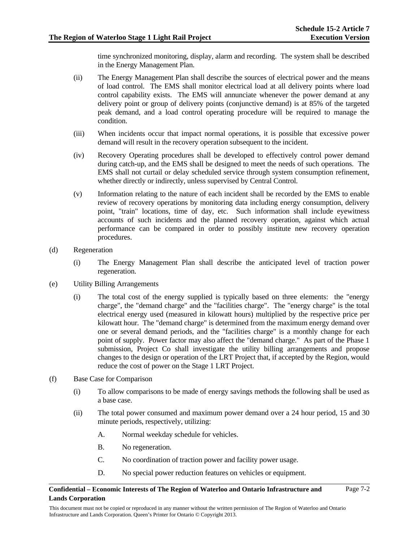time synchronized monitoring, display, alarm and recording. The system shall be described in the Energy Management Plan.

- (ii) The Energy Management Plan shall describe the sources of electrical power and the means of load control. The EMS shall monitor electrical load at all delivery points where load control capability exists. The EMS will annunciate whenever the power demand at any delivery point or group of delivery points (conjunctive demand) is at 85% of the targeted peak demand, and a load control operating procedure will be required to manage the condition.
- (iii) When incidents occur that impact normal operations, it is possible that excessive power demand will result in the recovery operation subsequent to the incident.
- (iv) Recovery Operating procedures shall be developed to effectively control power demand during catch-up, and the EMS shall be designed to meet the needs of such operations. The EMS shall not curtail or delay scheduled service through system consumption refinement, whether directly or indirectly, unless supervised by Central Control.
- (v) Information relating to the nature of each incident shall be recorded by the EMS to enable review of recovery operations by monitoring data including energy consumption, delivery point, "train" locations, time of day, etc. Such information shall include eyewitness accounts of such incidents and the planned recovery operation, against which actual performance can be compared in order to possibly institute new recovery operation procedures.
- (d) Regeneration
	- (i) The Energy Management Plan shall describe the anticipated level of traction power regeneration.
- (e) Utility Billing Arrangements
	- (i) The total cost of the energy supplied is typically based on three elements: the "energy charge", the "demand charge" and the "facilities charge". The "energy charge" is the total electrical energy used (measured in kilowatt hours) multiplied by the respective price per kilowatt hour. The "demand charge" is determined from the maximum energy demand over one or several demand periods, and the "facilities charge" is a monthly change for each point of supply. Power factor may also affect the "demand charge." As part of the Phase 1 submission, Project Co shall investigate the utility billing arrangements and propose changes to the design or operation of the LRT Project that, if accepted by the Region, would reduce the cost of power on the Stage 1 LRT Project.
- (f) Base Case for Comparison
	- (i) To allow comparisons to be made of energy savings methods the following shall be used as a base case.
	- (ii) The total power consumed and maximum power demand over a 24 hour period, 15 and 30 minute periods, respectively, utilizing:
		- A. Normal weekday schedule for vehicles.
		- B. No regeneration.
		- C. No coordination of traction power and facility power usage.
		- D. No special power reduction features on vehicles or equipment.

### **Confidential – Economic Interests of The Region of Waterloo and Ontario Infrastructure and Lands Corporation**